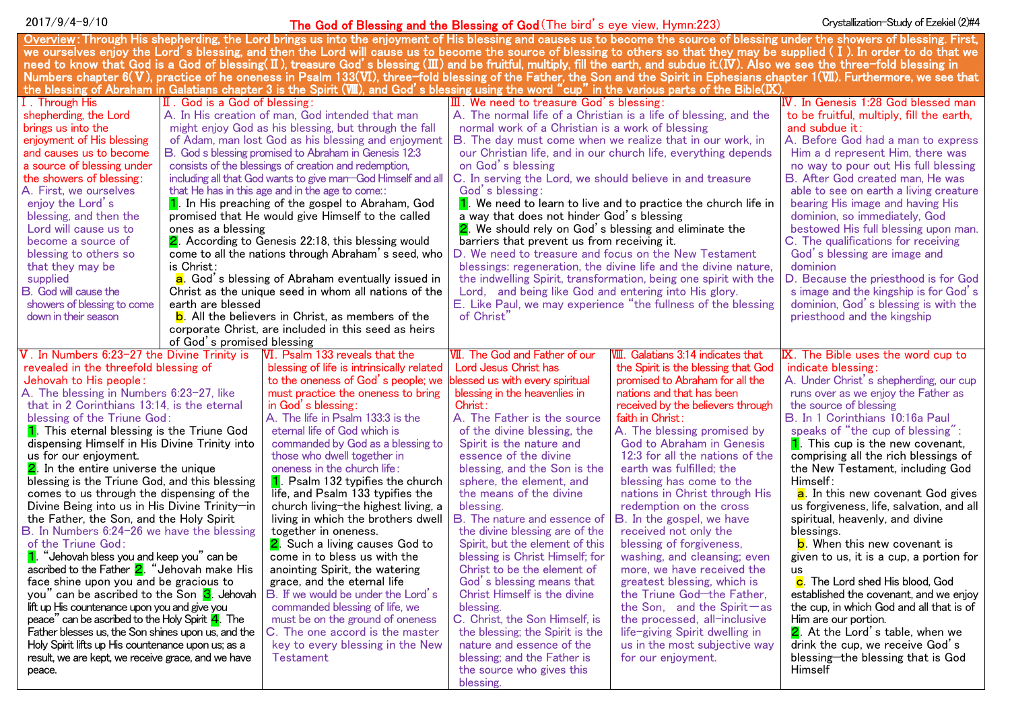# 2017/9/4-9/10 <mark>The God of Blessing and the Blessing of God</mark> (The bird's eye view, Hymn:223) Crystallization-Study of Ezekiel (2)#4

| Overview: Through His shepherding, the Lord brings us into the enjoyment of His blessing and causes us to become the source of blessing under the showers of blessing. First,                           |                                                           |                                                       |                                                                  |                                           |                                                  |
|---------------------------------------------------------------------------------------------------------------------------------------------------------------------------------------------------------|-----------------------------------------------------------|-------------------------------------------------------|------------------------------------------------------------------|-------------------------------------------|--------------------------------------------------|
| we ourselves enjoy the Lord's blessing, and then the Lord will cause us to become the source of blessing to others so that they may be supplied (I). In order to do that we                             |                                                           |                                                       |                                                                  |                                           |                                                  |
| need to know that God is a God of blessing( $\mathbb I$ ), treasure God's blessing( $\mathbb I$ ) and be fruitful, multiply, fill the earth, and subdue it.(IV). Also we see the three-fold blessing in |                                                           |                                                       |                                                                  |                                           |                                                  |
| Numbers chapter 6(V), practice of he oneness in Psalm 133(VI), three-fold blessing of the Father, the Son and the Spirit in Ephesians chapter 1(VII). Furthermore, we see that                          |                                                           |                                                       |                                                                  |                                           |                                                  |
| the blessing of Abraham in Galatians chapter 3 is the Spirit ( $W\!I\!I$ ), and God's blessing using the word "cup" in the various parts of the Bible( $K$ )                                            |                                                           |                                                       |                                                                  |                                           |                                                  |
| I. Through His                                                                                                                                                                                          | $\P$ . God is a God of blessing:                          |                                                       | $\overline{\mathbf{m}}$ . We need to treasure God's blessing:    |                                           | $\,$ $\rm{IV}$ . In Genesis 1:28 God blessed man |
| shepherding, the Lord                                                                                                                                                                                   |                                                           | A. In His creation of man, God intended that man      | A. The normal life of a Christian is a life of blessing, and the |                                           | to be fruitful, multiply, fill the earth,        |
| brings us into the                                                                                                                                                                                      |                                                           | might enjoy God as his blessing, but through the fall | normal work of a Christian is a work of blessing                 |                                           | and subdue $it$ :                                |
| enjoyment of His blessing                                                                                                                                                                               |                                                           | of Adam, man lost God as his blessing and enjoyment   | <b>B.</b> The day must come when we realize that in our work, in |                                           | A. Before God had a man to express               |
| and causes us to become                                                                                                                                                                                 |                                                           | B. God s blessing promised to Abraham in Genesis 12:3 | our Christian life, and in our church life, everything depends   |                                           | Him a d represent Him, there was                 |
| a source of blessing under                                                                                                                                                                              |                                                           | consists of the blessings of creation and redemption, | on God's blessing                                                |                                           | no way to pour out His full blessing             |
| the showers of blessing:<br>including all that God wants to give man-God Himself and all                                                                                                                |                                                           |                                                       | C. In serving the Lord, we should believe in and treasure        |                                           | B. After God created man, He was                 |
| A. First, we ourselves<br>that He has in this age and in the age to come::                                                                                                                              |                                                           |                                                       | God's blessing:                                                  |                                           | able to see on earth a living creature           |
| enjoy the Lord's                                                                                                                                                                                        |                                                           | 1. In His preaching of the gospel to Abraham, God     | 1. We need to learn to live and to practice the church life in   |                                           | bearing His image and having His                 |
| blessing, and then the                                                                                                                                                                                  | promised that He would give Himself to the called         |                                                       | a way that does not hinder God's blessing                        |                                           | dominion, so immediately, God                    |
| Lord will cause us to                                                                                                                                                                                   | ones as a blessing                                        |                                                       | 2. We should rely on God's blessing and eliminate the            |                                           | bestowed His full blessing upon man.             |
| become a source of                                                                                                                                                                                      | 2. According to Genesis 22:18, this blessing would        |                                                       | barriers that prevent us from receiving it.                      |                                           | C. The qualifications for receiving              |
| blessing to others so                                                                                                                                                                                   | come to all the nations through Abraham's seed, who       |                                                       | D. We need to treasure and focus on the New Testament            |                                           | God's blessing are image and                     |
| that they may be                                                                                                                                                                                        | is Christ:                                                |                                                       | blessings: regeneration, the divine life and the divine nature,  |                                           | dominion                                         |
| supplied                                                                                                                                                                                                | a. God's blessing of Abraham eventually issued in         |                                                       | the indwelling Spirit, transformation, being one spirit with the |                                           | D. Because the priesthood is for God             |
| B. God will cause the                                                                                                                                                                                   | Christ as the unique seed in whom all nations of the      |                                                       | Lord, and being like God and entering into His glory.            |                                           | s image and the kingship is for God's            |
| showers of blessing to come                                                                                                                                                                             | earth are blessed                                         |                                                       | E. Like Paul, we may experience "the fullness of the blessing    |                                           | dominion, God's blessing is with the             |
| down in their season                                                                                                                                                                                    | <b>b</b> . All the believers in Christ, as members of the |                                                       | of Christ"                                                       |                                           | priesthood and the kingship                      |
| corporate Christ, are included in this seed as heirs                                                                                                                                                    |                                                           |                                                       |                                                                  |                                           |                                                  |
| of God's promised blessing                                                                                                                                                                              |                                                           |                                                       |                                                                  |                                           |                                                  |
| V. In Numbers 6:23-27 the Divine Trinity is<br>VI. Psalm 133 reveals that the                                                                                                                           |                                                           | <b>VII.</b> The God and Father of our                 | VIII. Galatians 3:14 indicates that                              | <b>IX.</b> The Bible uses the word cup to |                                                  |
| revealed in the threefold blessing of                                                                                                                                                                   |                                                           | blessing of life is intrinsically related             | Lord Jesus Christ has                                            | the Spirit is the blessing that God       | indicate blessing:                               |
| Jehovah to His people:                                                                                                                                                                                  |                                                           | to the oneness of God's people; we                    | blessed us with every spiritual                                  | promised to Abraham for all the           | A. Under Christ's shepherding, our cup           |
| A. The blessing in Numbers 6:23-27, like                                                                                                                                                                |                                                           | must practice the oneness to bring                    | blessing in the heavenlies in                                    | nations and that has been                 | runs over as we enjoy the Father as              |
| that in 2 Corinthians 13:14, is the eternal                                                                                                                                                             |                                                           | in God's blessing:                                    | Christ:                                                          | received by the believers through         | the source of blessing                           |
| blessing of the Triune God:                                                                                                                                                                             |                                                           | A. The life in Psalm 133:3 is the                     | A. The Father is the source                                      | faith in Christ:                          | B. In 1 Corinthians 10:16a Paul                  |
| 1. This eternal blessing is the Triune God                                                                                                                                                              |                                                           | eternal life of God which is                          | of the divine blessing, the                                      | A. The blessing promised by               | speaks of "the cup of blessing":                 |
| dispensing Himself in His Divine Trinity into                                                                                                                                                           |                                                           | commanded by God as a blessing to                     | Spirit is the nature and                                         | God to Abraham in Genesis                 | 1. This cup is the new covenant,                 |
| us for our enjoyment.                                                                                                                                                                                   |                                                           | those who dwell together in                           | essence of the divine                                            | 12:3 for all the nations of the           | comprising all the rich blessings of             |
| 2. In the entire universe the unique                                                                                                                                                                    |                                                           | oneness in the church life:                           | blessing, and the Son is the                                     | earth was fulfilled; the                  | the New Testament, including God                 |
| blessing is the Triune God, and this blessing                                                                                                                                                           |                                                           | 1. Psalm 132 typifies the church                      | sphere, the element, and                                         | blessing has come to the                  | Himself:                                         |
| comes to us through the dispensing of the                                                                                                                                                               |                                                           | life, and Psalm 133 typifies the                      | the means of the divine                                          | nations in Christ through His             | a. In this new covenant God gives                |
| Divine Being into us in His Divine Trinity-in                                                                                                                                                           |                                                           | church living-the highest living, a                   | blessing.                                                        | redemption on the cross                   | us forgiveness, life, salvation, and all         |
| the Father, the Son, and the Holy Spirit                                                                                                                                                                |                                                           | living in which the brothers dwell                    | <b>B.</b> The nature and essence of                              | B. In the gospel, we have                 | spiritual, heavenly, and divine                  |
| B. In Numbers 6:24-26 we have the blessing                                                                                                                                                              |                                                           | together in oneness.                                  | the divine blessing are of the                                   | received not only the                     | blessings.                                       |
| of the Triune God:                                                                                                                                                                                      |                                                           | 2. Such a living causes God to                        | Spirit, but the element of this                                  | blessing of forgiveness,                  | <b>b</b> . When this new covenant is             |
| 1. "Jehovah bless you and keep you" can be                                                                                                                                                              |                                                           | come in to bless us with the                          | blessing is Christ Himself; for                                  | washing, and cleansing; even              | given to us, it is a cup, a portion for          |
| ascribed to the Father $2$ . "Jehovah make His                                                                                                                                                          |                                                           | anointing Spirit, the watering                        | Christ to be the element of                                      | more, we have received the                | us.                                              |
| face shine upon you and be gracious to                                                                                                                                                                  |                                                           | grace, and the eternal life                           | God's blessing means that                                        | greatest blessing, which is               | c. The Lord shed His blood, God                  |
| you" can be ascribed to the Son 3. Jehovah                                                                                                                                                              |                                                           | B. If we would be under the Lord's                    | Christ Himself is the divine                                     | the Triune God-the Father,                | established the covenant, and we enjoy           |
| lift up His countenance upon you and give you                                                                                                                                                           |                                                           | commanded blessing of life, we                        | blessing.                                                        | the Son, and the Spirit-as                | the cup, in which God and all that is of         |
| peace" can be ascribed to the Holy Spirit 4. The                                                                                                                                                        |                                                           | must be on the ground of oneness                      | C. Christ, the Son Himself, is                                   | the processed, all-inclusive              | Him are our portion.                             |
| Father blesses us, the Son shines upon us, and the                                                                                                                                                      |                                                           | C. The one accord is the master                       | the blessing; the Spirit is the                                  | life-giving Spirit dwelling in            | 2. At the Lord's table, when we                  |
| Holy Spirit lifts up His countenance upon us; as a                                                                                                                                                      |                                                           | key to every blessing in the New                      | nature and essence of the                                        | us in the most subjective way             | drink the cup, we receive God's                  |
| result, we are kept, we receive grace, and we have                                                                                                                                                      |                                                           | <b>Testament</b>                                      | blessing; and the Father is                                      | for our enjoyment.                        | blessing-the blessing that is God                |
| peace.                                                                                                                                                                                                  |                                                           |                                                       | the source who gives this                                        |                                           | Himself                                          |
|                                                                                                                                                                                                         |                                                           |                                                       | blessing.                                                        |                                           |                                                  |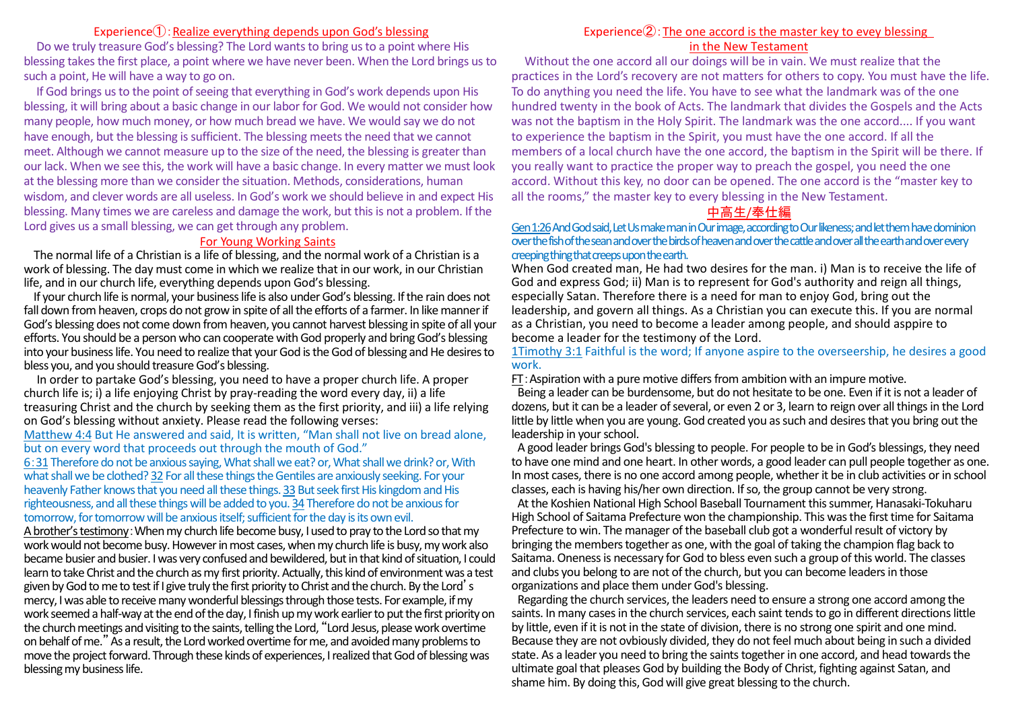#### Experience $(1)$ : Realize everything depends upon God's blessing

Do we truly treasure God's blessing? The Lord wants to bring us to a point where His blessing takes the first place, a point where we have never been. When the Lord brings us to such a point, He will have a way to go on.

If God brings us to the point of seeing that everything in God's work depends upon His blessing, it will bring about a basic change in our labor for God. We would not consider how many people, how much money, or how much bread we have. We would say we do not have enough, but the blessing is sufficient. The blessing meets the need that we cannot meet. Although we cannot measure up to the size of the need, the blessing is greater than our lack. When we see this, the work will have a basic change. In every matter we must look at the blessing more than we consider the situation. Methods, considerations, human wisdom, and clever words are all useless. In God's work we should believe in and expect His blessing. Many times we are careless and damage the work, but this is not a problem. If the Lord gives us a small blessing, we can get through any problem.

#### For Young Working Saints

The normal life of a Christian is a life of blessing, and the normal work of a Christian is a work of blessing. The day must come in which we realize that in our work, in our Christian life, and in our church life, everything depends upon God's blessing.

If your church life is normal, your business life is also under God's blessing. If the rain does not fall down from heaven, crops do not grow in spite of all the efforts of a farmer. In like manner if God's blessing does not come down from heaven, you cannot harvest blessing in spite of all your efforts. You should be a person who can cooperate with God properly and bring God's blessing into your business life. You need to realize that your God is the God of blessing and He desiresto bless you, and you should treasure God's blessing.

In order to partake God's blessing, you need to have a proper church life. A proper church life is; i) a life enjoying Christ by pray-reading the word every day, ii) a life treasuring Christ and the church by seeking them as the first priority, and iii) a life relying on God's blessing without anxiety. Please read the following verses:

Matthew 4:4 But He answered and said, It is written, "Man shall not live on bread alone, but on every word that proceeds out through the mouth of God."

6:31 Therefore do not be anxious saying, What shall we eat? or, What shall we drink? or, With what shall we be clothed? 32 For all these things the Gentiles are anxiously seeking. For your heavenly Father knows that you need all these things. 33 But seek first His kingdom and His righteousness, and all these things will be added to you. 34 Therefore do not be anxious for tomorrow, for tomorrow will be anxious itself; sufficient for the day is its own evil.

A brother's testimony:When my church life become busy, I used to pray to the Lord so that my work would not become busy. However in most cases, when my church life is busy, my work also became busier and busier. I was very confused and bewildered, but in that kind of situation, I could learn to take Christ and the church as my first priority. Actually, this kind of environment was a test given by God to me to test if I give truly the first priority to Christ and the church. By the Lord's mercy, I was able to receive many wonderful blessings through those tests. For example, if my work seemed a half-way at the end of the day, I finish up my work earlier to put the first priority on the church meetings and visiting to the saints, telling the Lord, "Lord Jesus, please work overtime on behalf of me."As a result, the Lord worked overtime for me, and avoided many problems to move the project forward. Through these kinds of experiences, I realized that God of blessing was blessing my business life.

#### Experience $(2)$ : The one accord is the master key to evey blessing in the New Testament

Without the one accord all our doings will be in vain. We must realize that the practices in the Lord's recovery are not matters for others to copy. You must have the life. To do anything you need the life. You have to see what the landmark was of the one hundred twenty in the book of Acts. The landmark that divides the Gospels and the Acts was not the baptism in the Holy Spirit. The landmark was the one accord.... If you want to experience the baptism in the Spirit, you must have the one accord. If all the members of a local church have the one accord, the baptism in the Spirit will be there. If you really want to practice the proper way to preach the gospel, you need the one accord. Without this key, no door can be opened. The one accord is the "master key to all the rooms," the master key to every blessing in the New Testament.

#### 中高生/奉仕編

Gen 1:26And God said, Let Us make man in Our image, according to Our likeness; and let them have dominion over the fish of the sean and over the birds of heaven and over the cattle and over all the earth and over every creeping thing that creeps upon the earth.

When God created man, He had two desires for the man. i) Man is to receive the life of God and express God; ii) Man is to represent for God's authority and reign all things, especially Satan. Therefore there is a need for man to enjoy God, bring out the leadership, and govern all things. As a Christian you can execute this. If you are normal as a Christian, you need to become a leader among people, and should asppire to become a leader for the testimony of the Lord.

1Timothy 3:1 Faithful is the word; If anyone aspire to the overseership, he desires a good work.

FT:Aspiration with a pure motive differs from ambition with an impure motive.

Being a leader can be burdensome, but do not hesitate to be one. Even if it is not a leader of dozens, but it can be a leader of several, or even 2 or 3, learn to reign over all things in the Lord little by little when you are young. God created you assuch and desires that you bring out the leadership in your school.

A good leader brings God's blessing to people. For people to be in God's blessings, they need to have one mind and one heart. In other words, a good leader can pull people together as one. In most cases, there is no one accord among people, whether it be in club activities or in school classes, each is having his/her own direction. If so, the group cannot be very strong.

At the Koshien National High School Baseball Tournament this summer, Hanasaki-Tokuharu High School of Saitama Prefecture won the championship. This was the first time for Saitama Prefecture to win. The manager of the baseball club got a wonderful result of victory by bringing the members together as one, with the goal of taking the champion flag back to Saitama. Onenessis necessary for God to bless even such a group of this world. The classes and clubs you belong to are not of the church, but you can become leaders in those organizations and place them under God's blessing.

Regarding the church services, the leaders need to ensure a strong one accord among the saints. In many cases in the church services, each saint tends to go in different directions little by little, even if it is not in the state of division, there is no strong one spirit and one mind. Because they are not ovbiously divided, they do not feel much about being in such a divided state. As a leader you need to bring the saintstogether in one accord, and head towards the ultimate goal that pleases God by building the Body of Christ, fighting against Satan, and shame him. By doing this, God will give great blessing to the church.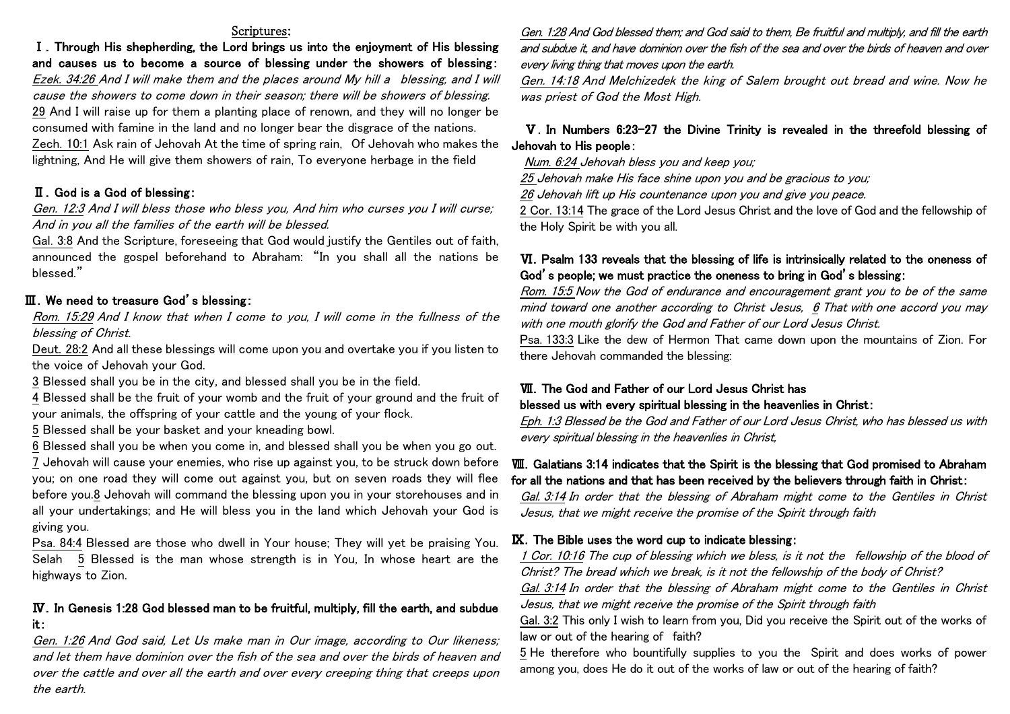#### Scriptures:

Ⅰ.Through His shepherding, the Lord brings us into the enjoyment of His blessing and causes us to become a source of blessing under the showers of blessing: Ezek. 34:26 And I will make them and the places around My hill a blessing, and I will cause the showers to come down in their season; there will be showers of blessing. 29 And I will raise up for them a planting place of renown, and they will no longer be consumed with famine in the land and no longer bear the disgrace of the nations. Zech. 10:1 Ask rain of Jehovah At the time of spring rain, Of Jehovah who makes the lightning, And He will give them showers of rain, To everyone herbage in the field

#### Ⅱ.God is a God of blessing:

Gen. 12:3 And I will bless those who bless you, And him who curses you I will curse; And in you all the families of the earth will be blessed.

Gal. 3:8 And the Scripture, foreseeing that God would justify the Gentiles out of faith, announced the gospel beforehand to Abraham: "In you shall all the nations be blessed."

# Ⅲ.We need to treasure God's blessing:

Rom. 15:29 And I know that when I come to you, I will come in the fullness of the blessing of Christ.

Deut. 28:2 And all these blessings will come upon you and overtake you if you listen to the voice of Jehovah your God.

3 Blessed shall you be in the city, and blessed shall you be in the field.

4 Blessed shall be the fruit of your womb and the fruit of your ground and the fruit of your animals, the offspring of your cattle and the young of your flock.

5 Blessed shall be your basket and your kneading bowl.

6 Blessed shall you be when you come in, and blessed shall you be when you go out. 7 Jehovah will cause your enemies, who rise up against you, to be struck down before you; on one road they will come out against you, but on seven roads they will flee before you.8 Jehovah will command the blessing upon you in your storehouses and in all your undertakings; and He will bless you in the land which Jehovah your God is giving you.

Psa. 84:4 Blessed are those who dwell in Your house; They will yet be praising You. Selah 5 Blessed is the man whose strength is in You, In whose heart are the highways to Zion.

# Ⅳ.In Genesis 1:28 God blessed man to be fruitful, multiply, fill the earth, and subdue it:

Gen. 1:26 And God said, Let Us make man in Our image, according to Our likeness; and let them have dominion over the fish of the sea and over the birds of heaven and over the cattle and over all the earth and over every creeping thing that creeps upon the earth.

Gen. 1:28 And God blessed them; and God said to them, Be fruitful and multiply, and fill the earth and subdue it, and have dominion over the fish of the sea and over the birds of heaven and over every living thing that moves upon the earth.

Gen. 14:18 And Melchizedek the king of Salem brought out bread and wine. Now he was priest of God the Most High.

# Ⅴ.In Numbers 6:23-27 the Divine Trinity is revealed in the threefold blessing of Jehovah to His people:

Num. 6:24 Jehovah bless you and keep you;

25 Jehovah make His face shine upon you and be gracious to you;

<u>26</u> Jehovah lift up His countenance upon you and give you peace.

2 Cor. 13:14 The grace of the Lord Jesus Christ and the love of God and the fellowship of the Holy Spirit be with you all.

# VI. Psalm 133 reveals that the blessing of life is intrinsically related to the oneness of God's people; we must practice the oneness to bring in God's blessing:

Rom. 15:5 Now the God of endurance and encouragement grant you to be of the same mind toward one another according to Christ Jesus, 6 That with one accord you may with one mouth glorify the God and Father of our Lord Jesus Christ.

Psa. 133:3 Like the dew of Hermon That came down upon the mountains of Zion. For there Jehovah commanded the blessing:

## Ⅶ.The God and Father of our Lord Jesus Christ has blessed us with every spiritual blessing in the heavenlies in Christ:

Eph. 1:3 Blessed be the God and Father of our Lord Jesus Christ, who has blessed us with every spiritual blessing in the heavenlies in Christ,

## Ⅷ.Galatians 3:14 indicates that the Spirit is the blessing that God promised to Abraham for all the nations and that has been received by the believers through faith in Christ:

Gal. 3:14 In order that the blessing of Abraham might come to the Gentiles in Christ Jesus, that we might receive the promise of the Spirit through faith

#### Ⅸ.The Bible uses the word cup to indicate blessing:

1 Cor. 10:16 The cup of blessing which we bless, is it not the fellowship of the blood of Christ? The bread which we break, is it not the fellowship of the body of Christ? Gal. 3:14 In order that the blessing of Abraham might come to the Gentiles in Christ Jesus, that we might receive the promise of the Spirit through faith

Gal. 3:2 This only I wish to learn from you, Did you receive the Spirit out of the works of law or out of the hearing of faith?

5 He therefore who bountifully supplies to you the Spirit and does works of power among you, does He do it out of the works of law or out of the hearing of faith?